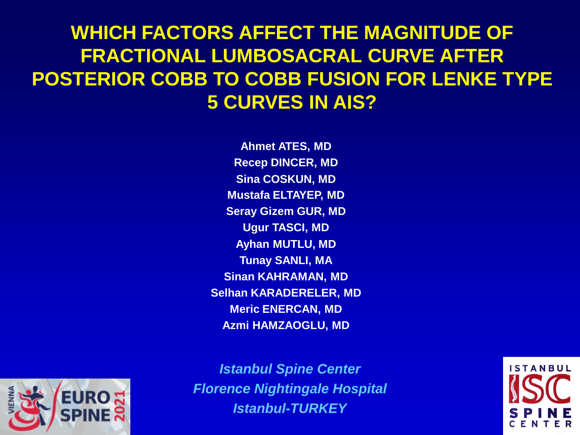#### **WHICH FACTORS AFFECT THE MAGNITUDE OF FRACTIONAL LUMBOSACRAL CURVE AFTER POSTERIOR COBB TO COBB FUSION FOR LENKE TYPE 5 CURVES IN AIS?**

**Ahmet ATES, MD Recep DINCER, MD Sina COSKUN, MD Mustafa ELTAYEP, MD Seray Gizem GUR, MD Ugur TASCI, MD Ayhan MUTLU, MD Tunay SANLI, MA Sinan KAHRAMAN, MD Selhan KARADERELER, MD Meric ENERCAN, MD Azmi HAMZAOGLU, MD**



*Istanbul Spine Center Florence Nightingale Hospital Istanbul-TURKEY*

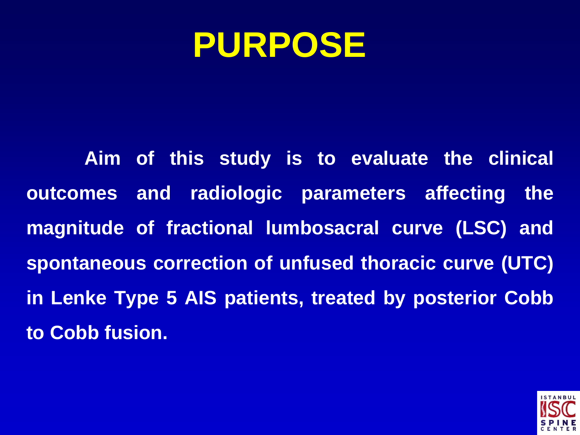## **PURPOSE**

**Aim of this study is to evaluate the clinical outcomes and radiologic parameters affecting the magnitude of fractional lumbosacral curve (LSC) and spontaneous correction of unfused thoracic curve (UTC) in Lenke Type 5 AIS patients, treated by posterior Cobb to Cobb fusion.**

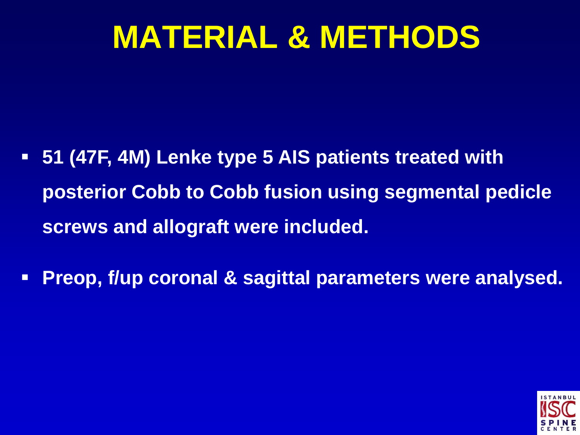# **MATERIAL & METHODS**

- **51 (47F, 4M) Lenke type 5 AIS patients treated with posterior Cobb to Cobb fusion using segmental pedicle screws and allograft were included.**
- **Preop, f/up coronal & sagittal parameters were analysed.**

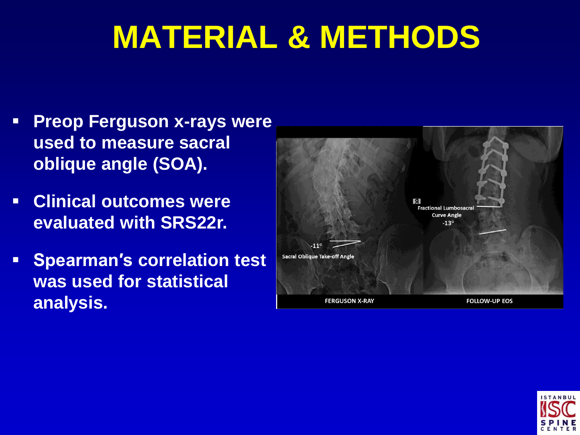# **MATERIAL & METHODS**

- **Preop Ferguson x-rays were used to measure sacral oblique angle (SOA).**
- **Clinical outcomes were evaluated with SRS22r.**
- **Spearman's correlation test was used for statistical analysis.**



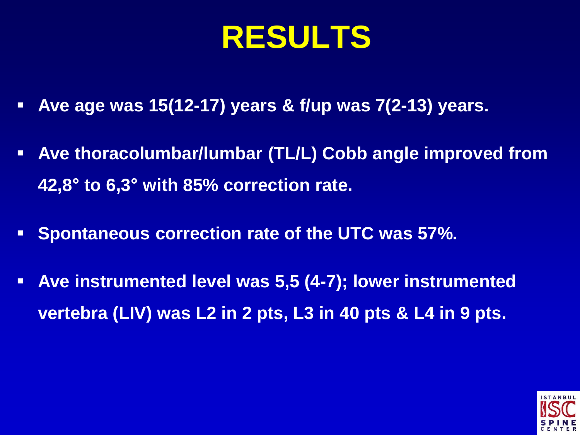# **RESULTS**

- **Ave age was 15(12-17) years & f/up was 7(2-13) years.**
- **Ave thoracolumbar/lumbar (TL/L) Cobb angle improved from 42,8° to 6,3° with 85% correction rate.**
- **Spontaneous correction rate of the UTC was 57%.**
- **Ave instrumented level was 5,5 (4-7); lower instrumented vertebra (LIV) was L2 in 2 pts, L3 in 40 pts & L4 in 9 pts.**

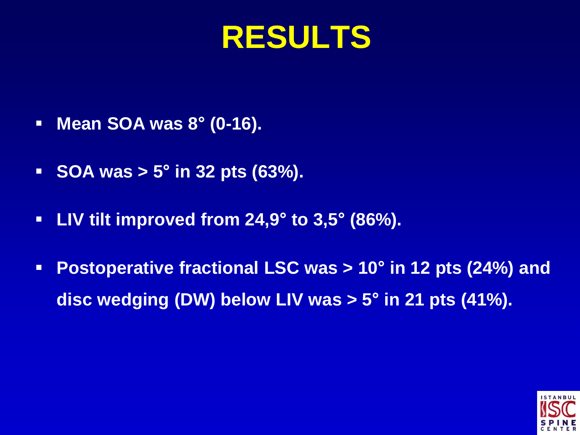### **RESULTS**

- **Mean SOA was 8° (0-16).**
- **SOA was > 5° in 32 pts (63%).**
- **LIV tilt improved from 24,9° to 3,5° (86%).**
- **Postoperative fractional LSC was > 10° in 12 pts (24%) and disc wedging (DW) below LIV was > 5° in 21 pts (41%).**

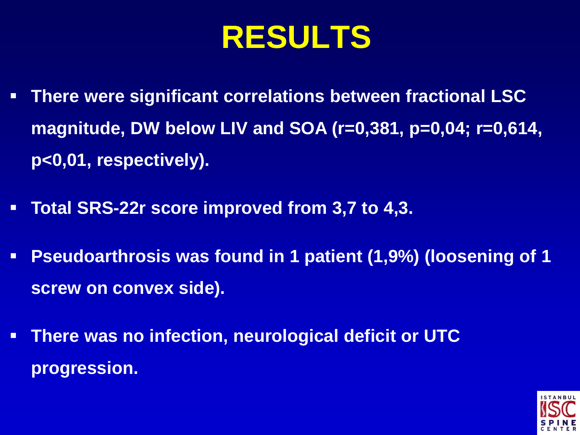# **RESULTS**

- **There were significant correlations between fractional LSC magnitude, DW below LIV and SOA (r=0,381, p=0,04; r=0,614, p<0,01, respectively).**
- **Total SRS-22r score improved from 3,7 to 4,3.**
- **Pseudoarthrosis was found in 1 patient (1,9%) (loosening of 1 screw on convex side).**
- **There was no infection, neurological deficit or UTC progression.**

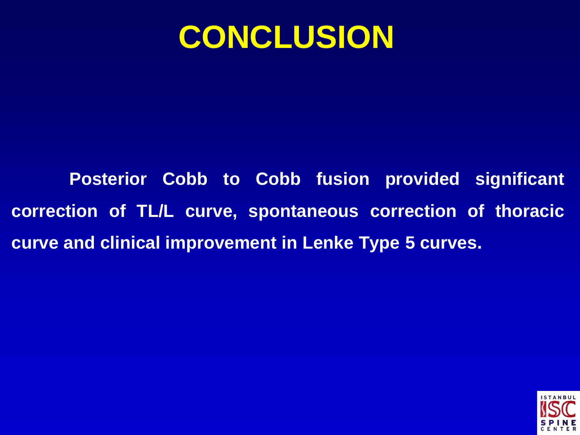#### **CONCLUSION**

**Posterior Cobb to Cobb fusion provided significant correction of TL/L curve, spontaneous correction of thoracic curve and clinical improvement in Lenke Type 5 curves.**

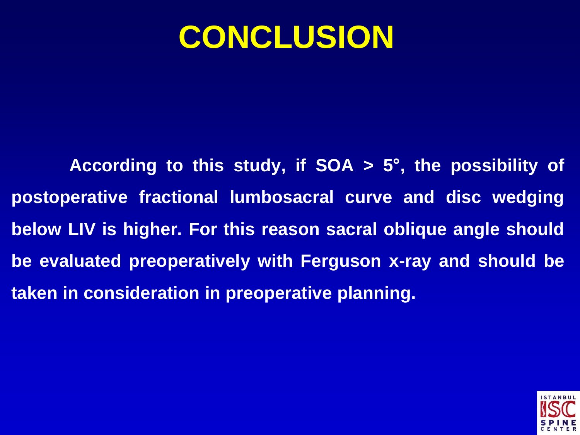### **CONCLUSION**

**According to this study, if SOA > 5° , the possibility of postoperative fractional lumbosacral curve and disc wedging below LIV is higher. For this reason sacral oblique angle should be evaluated preoperatively with Ferguson x-ray and should be taken in consideration in preoperative planning.**